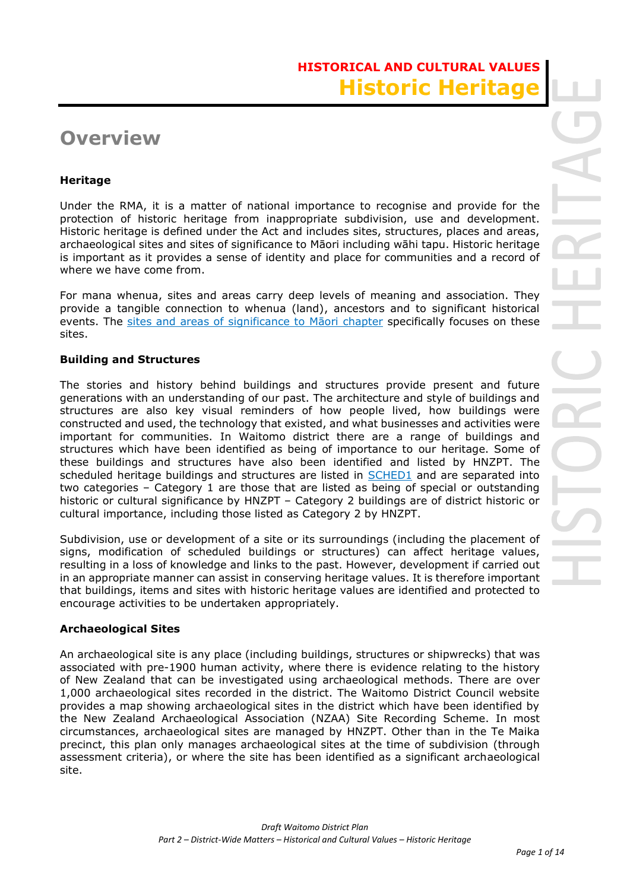# **HISTORICAL AND CULTURAL VALUES Historic Herita**

# **Overview**

## **Heritage**

Under the RMA, it is a matter of national importance to recognise and provide for the protection of historic heritage from inappropriate subdivision, use and development. Historic heritage is defined under the Act and includes sites, structures, places and areas, archaeological sites and sites of significance to Māori including wāhi tapu. Historic heritage is important as it provides a sense of identity and place for communities and a record of where we have come from.

For mana whenua, sites and areas carry deep levels of meaning and association. They provide a tangible connection to whenua (land), ancestors and to significant historical events. The sites and areas of significance to Maori chapter specifically focuses on these sites.

## **Building and Structures**

The stories and history behind buildings and structures provide present and future generations with an understanding of our past. The architecture and style of buildings and structures are also key visual reminders of how people lived, how buildings were constructed and used, the technology that existed, and what businesses and activities were important for communities. In Waitomo district there are a range of buildings and structures which have been identified as being of importance to our heritage. Some of these buildings and structures have also been identified and listed by HNZPT. The scheduled heritage buildings and structures are listed in SCHED1 and are separated into two categories – Category 1 are those that are listed as being of special or outstanding historic or cultural significance by HNZPT – Category 2 buildings are of district historic or cultural importance, including those listed as Category 2 by HNZPT.

Subdivision, use or development of a site or its surroundings (including the placement of signs, modification of scheduled buildings or structures) can affect heritage values, resulting in a loss of knowledge and links to the past. However, development if carried out in an appropriate manner can assist in conserving heritage values. It is therefore important that buildings, items and sites with historic heritage values are identified and protected to encourage activities to be undertaken appropriately.

### **Archaeological Sites**

An archaeological site is any place (including buildings, structures or shipwrecks) that was associated with pre-1900 human activity, where there is evidence relating to the history of New Zealand that can be investigated using archaeological methods. There are over 1,000 archaeological sites recorded in the district. The Waitomo District Council website provides a map showing archaeological sites in the district which have been identified by the New Zealand Archaeological Association (NZAA) Site Recording Scheme. In most circumstances, archaeological sites are managed by HNZPT. Other than in the Te Maika precinct, this plan only manages archaeological sites at the time of subdivision (through assessment criteria), or where the site has been identified as a significant archaeological site.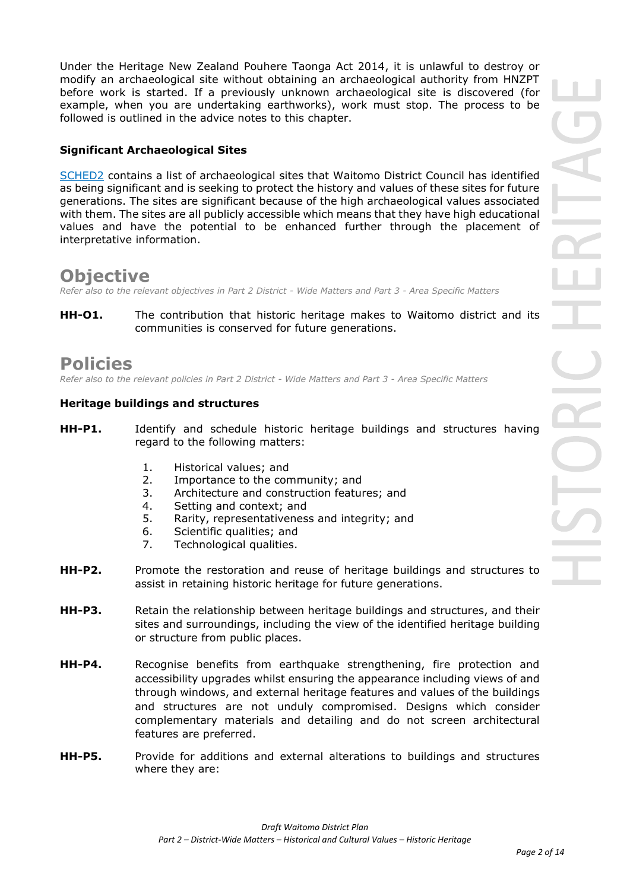Under the Heritage New Zealand Pouhere Taonga Act 2014, it is unlawful to destroy or modify an archaeological site without obtaining an archaeological authority from HNZPT before work is started. If a previously unknown archaeological site is discovered (for example, when you are undertaking earthworks), work must stop. The process to be followed is outlined in the advice notes to this chapter.

### **Significant Archaeological Sites**

SCHED2 contains a list of archaeological sites that Waitomo District Council has identified as being significant and is seeking to protect the history and values of these sites for future generations. The sites are significant because of the high archaeological values associated with them. The sites are all publicly accessible which means that they have high educational values and have the potential to be enhanced further through the placement of interpretative information.

## **Objective**

*Refer also to the relevant objectives in Part 2 District - Wide Matters and Part 3 - Area Specific Matters*

**HH-O1.** The contribution that historic heritage makes to Waitomo district and its communities is conserved for future generations.

## **Policies**

*Refer also to the relevant policies in Part 2 District - Wide Matters and Part 3 - Area Specific Matters*

### **Heritage buildings and structures**

- **HH-P1.** Identify and schedule historic heritage buildings and structures having regard to the following matters:
	- 1. Historical values; and
	- 2. Importance to the community; and
	- 3. Architecture and construction features; and
	- 4. Setting and context; and
	- 5. Rarity, representativeness and integrity; and
	- 6. Scientific qualities; and
	- 7. Technological qualities.
- **HH-P2.** Promote the restoration and reuse of heritage buildings and structures to assist in retaining historic heritage for future generations.
- **HH-P3.** Retain the relationship between heritage buildings and structures, and their sites and surroundings, including the view of the identified heritage building or structure from public places.
- **HH-P4.** Recognise benefits from earthquake strengthening, fire protection and accessibility upgrades whilst ensuring the appearance including views of and through windows, and external heritage features and values of the buildings and structures are not unduly compromised. Designs which consider complementary materials and detailing and do not screen architectural features are preferred.
- **HH-P5.** Provide for additions and external alterations to buildings and structures where they are: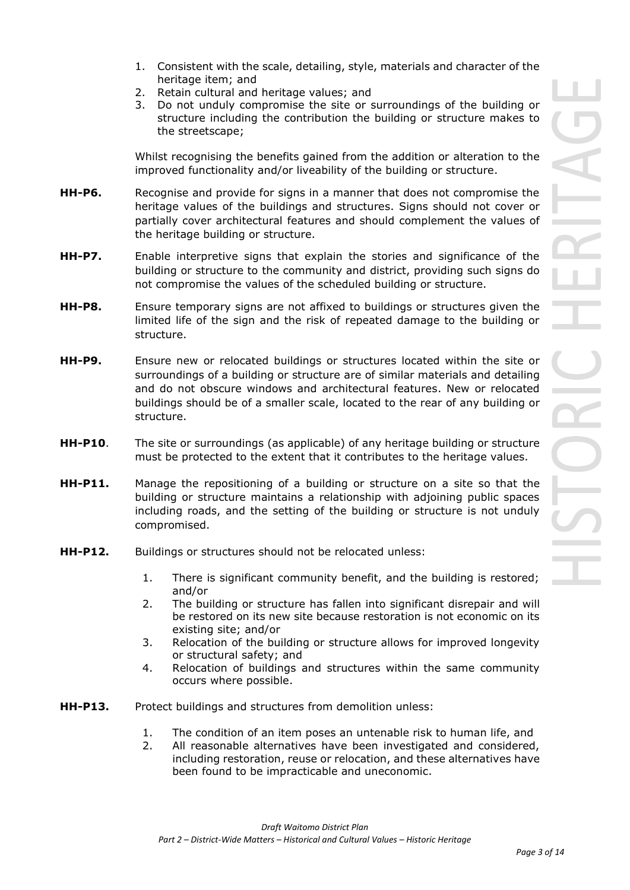- 1. Consistent with the scale, detailing, style, materials and character of the heritage item; and
- 2. Retain cultural and heritage values; and
- 3. Do not unduly compromise the site or surroundings of the building or structure including the contribution the building or structure makes to the streetscape;

Whilst recognising the benefits gained from the addition or alteration to the improved functionality and/or liveability of the building or structure.

- **HH-P6.** Recognise and provide for signs in a manner that does not compromise the heritage values of the buildings and structures. Signs should not cover or partially cover architectural features and should complement the values of the heritage building or structure.
- **HH-P7.** Enable interpretive signs that explain the stories and significance of the building or structure to the community and district, providing such signs do not compromise the values of the scheduled building or structure.
- **HH-P8.** Ensure temporary signs are not affixed to buildings or structures given the limited life of the sign and the risk of repeated damage to the building or structure.
- **HH-P9.** Ensure new or relocated buildings or structures located within the site or surroundings of a building or structure are of similar materials and detailing and do not obscure windows and architectural features. New or relocated buildings should be of a smaller scale, located to the rear of any building or structure.
- **HH-P10**. The site or surroundings (as applicable) of any heritage building or structure must be protected to the extent that it contributes to the heritage values.
- **HH-P11.** Manage the repositioning of a building or structure on a site so that the building or structure maintains a relationship with adjoining public spaces including roads, and the setting of the building or structure is not unduly compromised.
- **HH-P12.** Buildings or structures should not be relocated unless:
	- 1. There is significant community benefit, and the building is restored; and/or
	- 2. The building or structure has fallen into significant disrepair and will be restored on its new site because restoration is not economic on its existing site; and/or
	- 3. Relocation of the building or structure allows for improved longevity or structural safety; and
	- 4. Relocation of buildings and structures within the same community occurs where possible.
- **HH-P13.** Protect buildings and structures from demolition unless:
	- 1. The condition of an item poses an untenable risk to human life, and
	- 2. All reasonable alternatives have been investigated and considered, including restoration, reuse or relocation, and these alternatives have been found to be impracticable and uneconomic.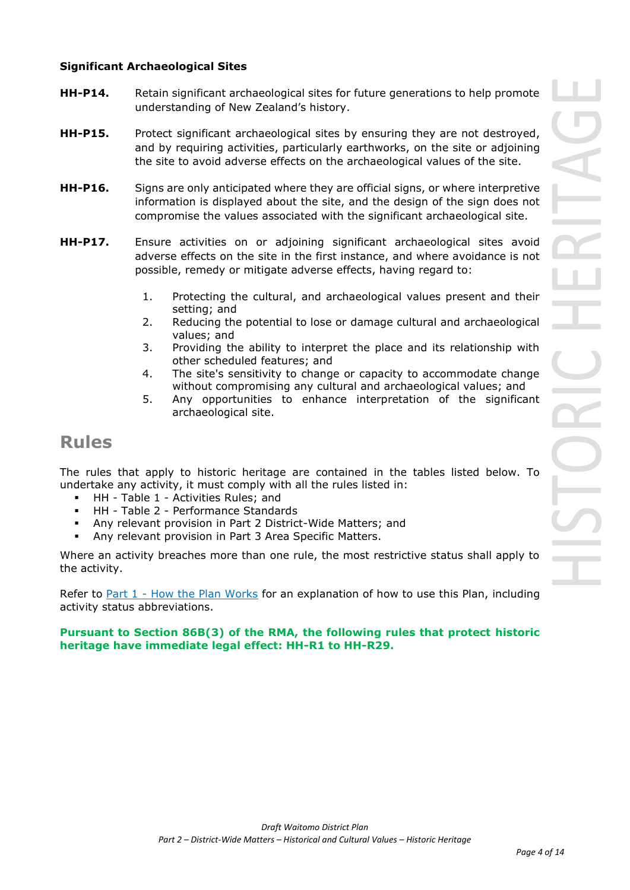### **Significant Archaeological Sites**

- **HH-P14.** Retain significant archaeological sites for future generations to help promote understanding of New Zealand's history.
- **HH-P15.** Protect significant archaeological sites by ensuring they are not destroyed, and by requiring activities, particularly earthworks, on the site or adjoining the site to avoid adverse effects on the archaeological values of the site.
- **HH-P16.** Signs are only anticipated where they are official signs, or where interpretive information is displayed about the site, and the design of the sign does not compromise the values associated with the significant archaeological site.
- **HH-P17.** Ensure activities on or adjoining significant archaeological sites avoid adverse effects on the site in the first instance, and where avoidance is not possible, remedy or mitigate adverse effects, having regard to:
	- 1. Protecting the cultural, and archaeological values present and their setting; and
	- 2. Reducing the potential to lose or damage cultural and archaeological values; and
	- 3. Providing the ability to interpret the place and its relationship with other scheduled features; and
	- 4. The site's sensitivity to change or capacity to accommodate change without compromising any cultural and archaeological values; and
	- 5. Any opportunities to enhance interpretation of the significant archaeological site.

## **Rules**

The rules that apply to historic heritage are contained in the tables listed below. To undertake any activity, it must comply with all the rules listed in:

- HH Table 1 Activities Rules; and
- HH Table 2 Performance Standards
- Any relevant provision in Part 2 District-Wide Matters; and
- Any relevant provision in Part 3 Area Specific Matters.

Where an activity breaches more than one rule, the most restrictive status shall apply to the activity.

Refer to [Part 1](javascript:void(0)) - How the Plan Works for an explanation of how to use this Plan, including activity status abbreviations.

### **Pursuant to Section 86B(3) of the RMA, the following rules that protect historic heritage have immediate legal effect: HH-R1 to HH-R29.**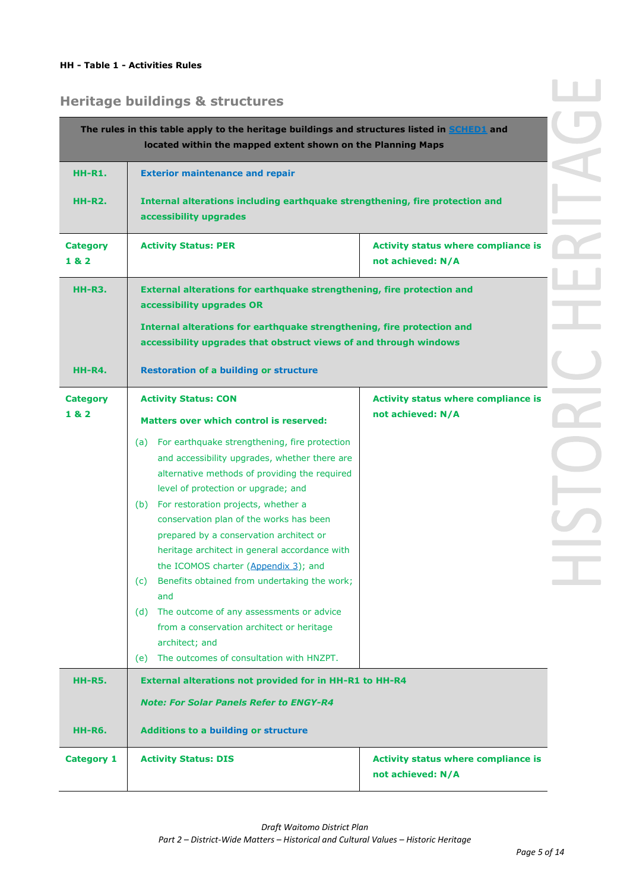# **Heritage buildings & structures**

|                         | The rules in this table apply to the heritage buildings and structures listed in <b>SCHED1</b> and<br>located within the mapped extent shown on the Planning Maps                                                                                                                                                                                                                                                                                                                                                                                                                                                                                 |                                                                 |
|-------------------------|---------------------------------------------------------------------------------------------------------------------------------------------------------------------------------------------------------------------------------------------------------------------------------------------------------------------------------------------------------------------------------------------------------------------------------------------------------------------------------------------------------------------------------------------------------------------------------------------------------------------------------------------------|-----------------------------------------------------------------|
| <b>HH-R1.</b>           | <b>Exterior maintenance and repair</b>                                                                                                                                                                                                                                                                                                                                                                                                                                                                                                                                                                                                            |                                                                 |
| <b>HH-R2.</b>           | Internal alterations including earthquake strengthening, fire protection and<br>accessibility upgrades                                                                                                                                                                                                                                                                                                                                                                                                                                                                                                                                            |                                                                 |
| <b>Category</b><br>1& 2 | <b>Activity Status: PER</b>                                                                                                                                                                                                                                                                                                                                                                                                                                                                                                                                                                                                                       | <b>Activity status where compliance is</b><br>not achieved: N/A |
| <b>HH-R3.</b>           | <b>External alterations for earthquake strengthening, fire protection and</b><br>accessibility upgrades OR                                                                                                                                                                                                                                                                                                                                                                                                                                                                                                                                        |                                                                 |
|                         | Internal alterations for earthquake strengthening, fire protection and<br>accessibility upgrades that obstruct views of and through windows                                                                                                                                                                                                                                                                                                                                                                                                                                                                                                       |                                                                 |
| HH-R4.                  | <b>Restoration of a building or structure</b>                                                                                                                                                                                                                                                                                                                                                                                                                                                                                                                                                                                                     |                                                                 |
| <b>Category</b><br>1& 2 | <b>Activity status where compliance is</b><br><b>Activity Status: CON</b><br>not achieved: N/A<br><b>Matters over which control is reserved:</b>                                                                                                                                                                                                                                                                                                                                                                                                                                                                                                  |                                                                 |
|                         | (a) For earthquake strengthening, fire protection<br>and accessibility upgrades, whether there are<br>alternative methods of providing the required<br>level of protection or upgrade; and<br>(b) For restoration projects, whether a<br>conservation plan of the works has been<br>prepared by a conservation architect or<br>heritage architect in general accordance with<br>the ICOMOS charter (Appendix 3); and<br>Benefits obtained from undertaking the work;<br>(c)<br>and<br>(d) The outcome of any assessments or advice<br>from a conservation architect or heritage<br>architect; and<br>(e) The outcomes of consultation with HNZPT. |                                                                 |
| <b>HH-R5.</b>           | External alterations not provided for in HH-R1 to HH-R4                                                                                                                                                                                                                                                                                                                                                                                                                                                                                                                                                                                           |                                                                 |
|                         | <b>Note: For Solar Panels Refer to ENGY-R4</b>                                                                                                                                                                                                                                                                                                                                                                                                                                                                                                                                                                                                    |                                                                 |
| HH-R6.                  | <b>Additions to a building or structure</b>                                                                                                                                                                                                                                                                                                                                                                                                                                                                                                                                                                                                       |                                                                 |
| <b>Category 1</b>       | <b>Activity Status: DIS</b>                                                                                                                                                                                                                                                                                                                                                                                                                                                                                                                                                                                                                       | <b>Activity status where compliance is</b><br>not achieved: N/A |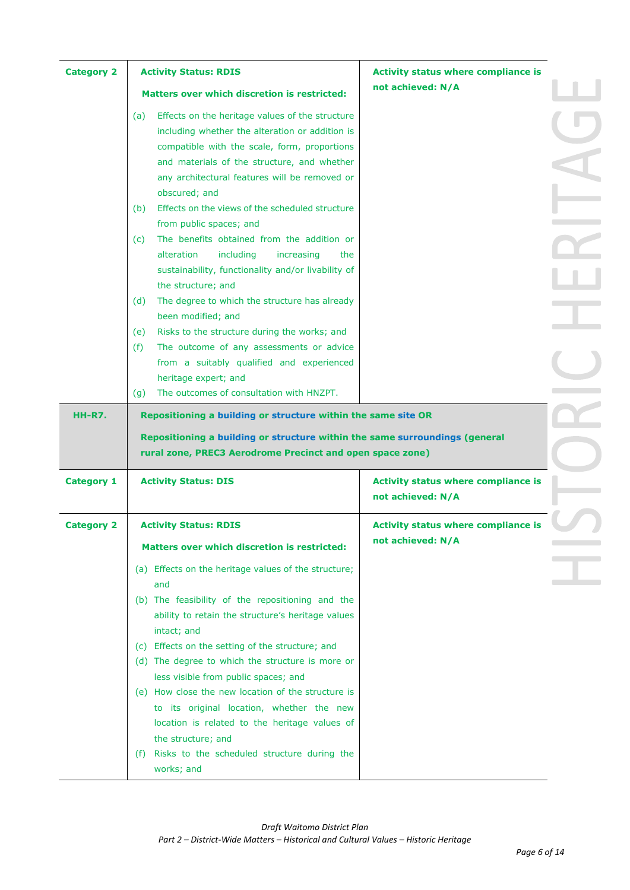|                   | <b>Activity Status: RDIS</b>                                                                                                                                                                                                                                               | <b>Activity status where compliance is</b>                      |  |
|-------------------|----------------------------------------------------------------------------------------------------------------------------------------------------------------------------------------------------------------------------------------------------------------------------|-----------------------------------------------------------------|--|
|                   | <b>Matters over which discretion is restricted:</b>                                                                                                                                                                                                                        | not achieved: N/A                                               |  |
|                   | Effects on the heritage values of the structure<br>(a)<br>including whether the alteration or addition is<br>compatible with the scale, form, proportions<br>and materials of the structure, and whether<br>any architectural features will be removed or<br>obscured; and |                                                                 |  |
|                   | Effects on the views of the scheduled structure<br>(b)<br>from public spaces; and<br>The benefits obtained from the addition or<br>(c)                                                                                                                                     |                                                                 |  |
|                   | alteration<br>including<br>increasing<br>the<br>sustainability, functionality and/or livability of<br>the structure; and                                                                                                                                                   |                                                                 |  |
|                   | The degree to which the structure has already<br>(d)<br>been modified; and<br>Risks to the structure during the works; and<br>(e)                                                                                                                                          |                                                                 |  |
|                   | The outcome of any assessments or advice<br>(f)<br>from a suitably qualified and experienced<br>heritage expert; and<br>The outcomes of consultation with HNZPT.                                                                                                           |                                                                 |  |
| <b>HH-R7.</b>     | (g)<br>Repositioning a building or structure within the same site OR                                                                                                                                                                                                       |                                                                 |  |
|                   |                                                                                                                                                                                                                                                                            |                                                                 |  |
|                   | Repositioning a building or structure within the same surroundings (general<br>rural zone, PREC3 Aerodrome Precinct and open space zone)                                                                                                                                   |                                                                 |  |
| <b>Category 1</b> | <b>Activity Status: DIS</b>                                                                                                                                                                                                                                                | <b>Activity status where compliance is</b><br>not achieved: N/A |  |
| <b>Category 2</b> | <b>Activity Status: RDIS</b>                                                                                                                                                                                                                                               | <b>Activity status where compliance is</b>                      |  |
|                   | <b>Matters over which discretion is restricted:</b>                                                                                                                                                                                                                        | not achieved: N/A                                               |  |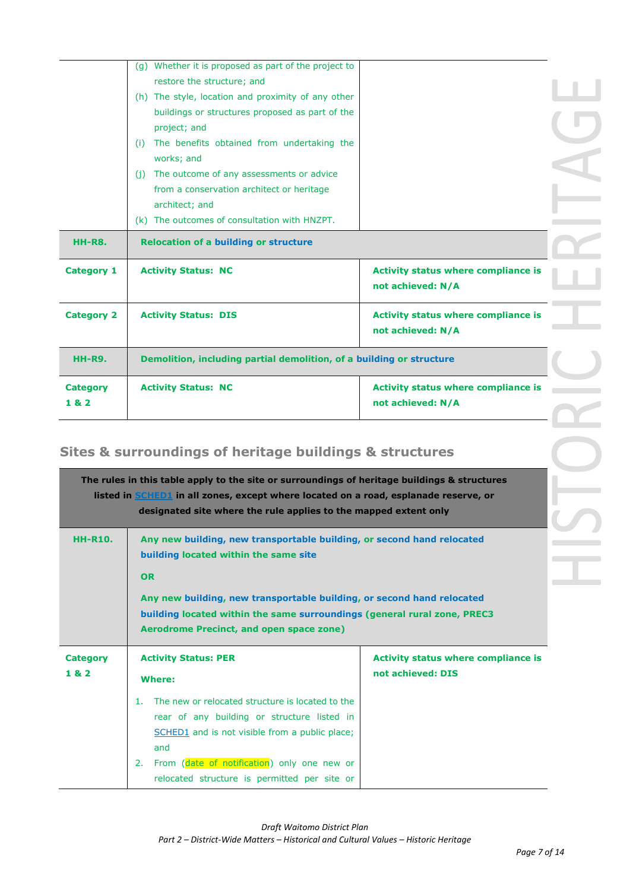|                   | (g) Whether it is proposed as part of the project to                 |                                                                 |  |
|-------------------|----------------------------------------------------------------------|-----------------------------------------------------------------|--|
|                   | restore the structure; and                                           |                                                                 |  |
|                   | (h) The style, location and proximity of any other                   |                                                                 |  |
|                   | buildings or structures proposed as part of the                      |                                                                 |  |
|                   | project; and                                                         |                                                                 |  |
|                   | The benefits obtained from undertaking the<br>(i)                    |                                                                 |  |
|                   | works; and                                                           |                                                                 |  |
|                   | The outcome of any assessments or advice<br>(i)                      |                                                                 |  |
|                   | from a conservation architect or heritage                            |                                                                 |  |
|                   | architect; and                                                       |                                                                 |  |
|                   | (k) The outcomes of consultation with HNZPT.                         |                                                                 |  |
| <b>HH-R8.</b>     | <b>Relocation of a building or structure</b>                         |                                                                 |  |
|                   |                                                                      |                                                                 |  |
| <b>Category 1</b> | <b>Activity Status: NC</b>                                           | <b>Activity status where compliance is</b><br>not achieved: N/A |  |
| <b>Category 2</b> | <b>Activity Status: DIS</b>                                          | <b>Activity status where compliance is</b><br>not achieved: N/A |  |
| <b>HH-R9.</b>     | Demolition, including partial demolition, of a building or structure |                                                                 |  |
| <b>Category</b>   | <b>Activity Status: NC</b>                                           | <b>Activity status where compliance is</b>                      |  |

# **Sites & surroundings of heritage buildings & structures**

|                 | The rules in this table apply to the site or surroundings of heritage buildings & structures<br>listed in SCHED1 in all zones, except where located on a road, esplanade reserve, or<br>designated site where the rule applies to the mapped extent only |                                            |  |  |
|-----------------|----------------------------------------------------------------------------------------------------------------------------------------------------------------------------------------------------------------------------------------------------------|--------------------------------------------|--|--|
| <b>HH-R10.</b>  | Any new building, new transportable building, or second hand relocated<br>building located within the same site                                                                                                                                          |                                            |  |  |
|                 | OR                                                                                                                                                                                                                                                       |                                            |  |  |
|                 | Any new building, new transportable building, or second hand relocated                                                                                                                                                                                   |                                            |  |  |
|                 | building located within the same surroundings (general rural zone, PREC3<br><b>Aerodrome Precinct, and open space zone)</b>                                                                                                                              |                                            |  |  |
|                 |                                                                                                                                                                                                                                                          |                                            |  |  |
| <b>Category</b> | <b>Activity Status: PER</b>                                                                                                                                                                                                                              | <b>Activity status where compliance is</b> |  |  |
| 182             | <b>Where:</b>                                                                                                                                                                                                                                            | not achieved: DIS                          |  |  |
|                 | The new or relocated structure is located to the<br>1.                                                                                                                                                                                                   |                                            |  |  |
|                 | rear of any building or structure listed in                                                                                                                                                                                                              |                                            |  |  |
|                 | SCHED1 and is not visible from a public place;                                                                                                                                                                                                           |                                            |  |  |
|                 | and                                                                                                                                                                                                                                                      |                                            |  |  |
|                 | From (date of notification) only one new or<br>2.                                                                                                                                                                                                        |                                            |  |  |
|                 | relocated structure is permitted per site or                                                                                                                                                                                                             |                                            |  |  |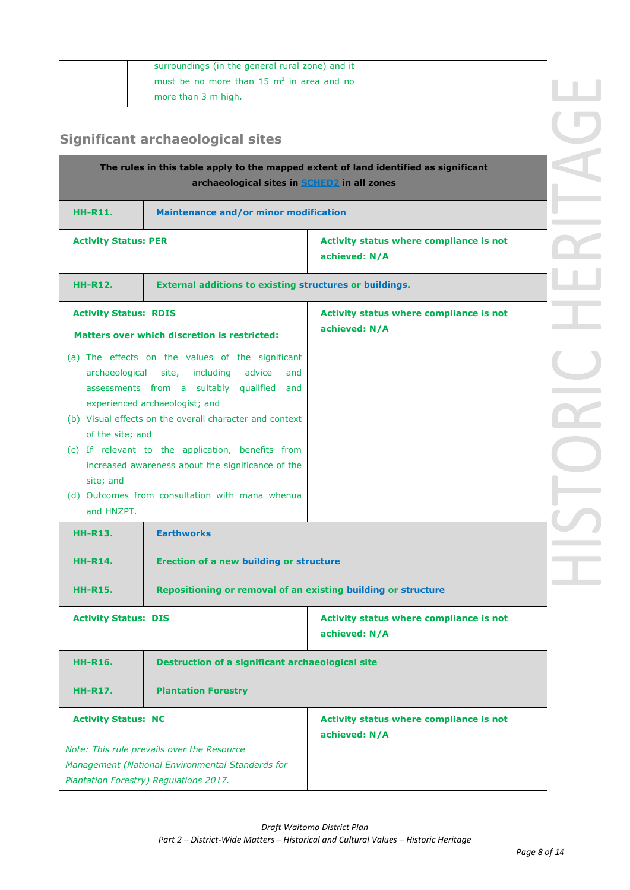| must be no more than 15 $m2$ in area and no | surroundings (in the general rural zone) and it |  |
|---------------------------------------------|-------------------------------------------------|--|
|                                             |                                                 |  |
|                                             | more than 3 m high.                             |  |

# **Significant archaeological sites**

| The rules in this table apply to the mapped extent of land identified as significant<br>archaeological sites in SCHED2 in all zones                                                                                                                                                                                                                                                                                                                                                                                                              |                                                                 |  |
|--------------------------------------------------------------------------------------------------------------------------------------------------------------------------------------------------------------------------------------------------------------------------------------------------------------------------------------------------------------------------------------------------------------------------------------------------------------------------------------------------------------------------------------------------|-----------------------------------------------------------------|--|
| <b>HH-R11.</b>                                                                                                                                                                                                                                                                                                                                                                                                                                                                                                                                   | <b>Maintenance and/or minor modification</b>                    |  |
| <b>Activity Status: PER</b>                                                                                                                                                                                                                                                                                                                                                                                                                                                                                                                      | Activity status where compliance is not<br>achieved: N/A        |  |
| <b>HH-R12.</b><br><b>External additions to existing structures or buildings.</b>                                                                                                                                                                                                                                                                                                                                                                                                                                                                 |                                                                 |  |
| <b>Activity Status: RDIS</b><br><b>Matters over which discretion is restricted:</b><br>(a) The effects on the values of the significant<br>archaeological site, including<br>advice<br>and<br>assessments from a suitably qualified and<br>experienced archaeologist; and<br>(b) Visual effects on the overall character and context<br>of the site; and<br>(c) If relevant to the application, benefits from<br>increased awareness about the significance of the<br>site; and<br>(d) Outcomes from consultation with mana whenua<br>and HNZPT. | Activity status where compliance is not<br>achieved: N/A        |  |
| <b>Earthworks</b><br><b>HH-R13.</b>                                                                                                                                                                                                                                                                                                                                                                                                                                                                                                              |                                                                 |  |
| <b>Erection of a new building or structure</b><br><b>HH-R14.</b>                                                                                                                                                                                                                                                                                                                                                                                                                                                                                 |                                                                 |  |
| Repositioning or removal of an existing building or structure<br><b>HH-R15.</b>                                                                                                                                                                                                                                                                                                                                                                                                                                                                  |                                                                 |  |
| <b>Activity Status: DIS</b>                                                                                                                                                                                                                                                                                                                                                                                                                                                                                                                      | <b>Activity status where compliance is not</b><br>achieved: N/A |  |
| <b>Destruction of a significant archaeological site</b><br><b>HH-R16.</b>                                                                                                                                                                                                                                                                                                                                                                                                                                                                        |                                                                 |  |
| <b>Plantation Forestry</b><br><b>HH-R17.</b>                                                                                                                                                                                                                                                                                                                                                                                                                                                                                                     |                                                                 |  |
| <b>Activity Status: NC</b><br>Note: This rule prevails over the Resource<br>Management (National Environmental Standards for<br>Plantation Forestry) Regulations 2017.                                                                                                                                                                                                                                                                                                                                                                           | Activity status where compliance is not<br>achieved: N/A        |  |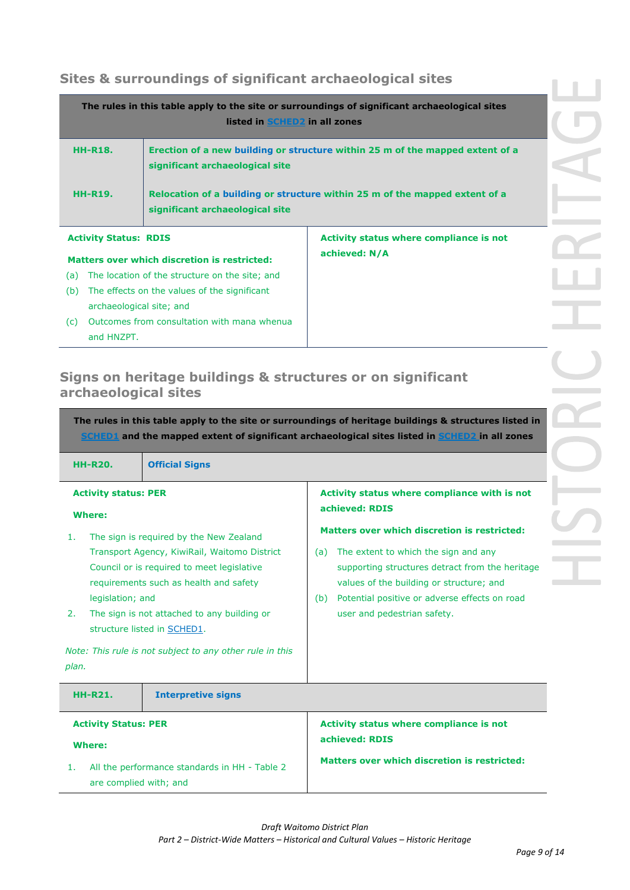## **Sites & surroundings of significant archaeological sites**

|                                                                                | listed in SCHED2 in all zones                                                                                    | The rules in this table apply to the site or surroundings of significant archaeological sites |
|--------------------------------------------------------------------------------|------------------------------------------------------------------------------------------------------------------|-----------------------------------------------------------------------------------------------|
| <b>HH-R18.</b>                                                                 | Erection of a new building or structure within 25 m of the mapped extent of a<br>significant archaeological site |                                                                                               |
| <b>HH-R19.</b>                                                                 | Relocation of a building or structure within 25 m of the mapped extent of a<br>significant archaeological site   |                                                                                               |
| <b>Activity status where compliance is not</b><br><b>Activity Status: RDIS</b> |                                                                                                                  |                                                                                               |

**achieved: N/A**

### **Matters over which discretion is restricted:**

- (a) The location of the structure on the site; and (b) The effects on the values of the significant
- archaeological site; and (c) Outcomes from consultation with mana whenua
- and HNZPT.

## **Signs on heritage buildings & structures or on significant archaeological sites**

**The rules in this table apply to the site or surroundings of heritage buildings & structures listed in SCHED1 and the mapped extent of significant archaeological sites listed in SCHED2 in all zones HH-R20. Official Signs Activity status: PER Where:** 1. The sign is required by the New Zealand Transport Agency, KiwiRail, Waitomo District Council or is required to meet legislative requirements such as health and safety legislation; and 2. The sign is not attached to any building or structure listed in SCHED1. *Note: This rule is not subject to any other rule in this plan.* **Activity status where compliance with is not achieved: RDIS Matters over which discretion is restricted:** (a) The extent to which the sign and any supporting structures detract from the heritage values of the building or structure; and (b) Potential positive or adverse effects on road user and pedestrian safety. **HH-R21. Interpretive signs Activity Status: PER Where:**  1. All the performance standards in HH - Table 2 **Activity status where compliance is not achieved: RDIS Matters over which discretion is restricted:**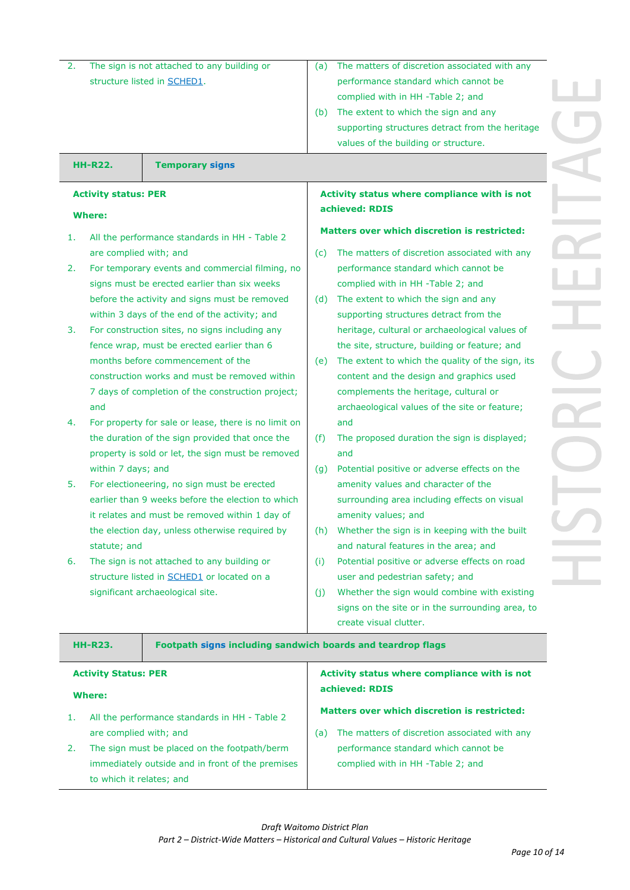| The sign is not attached to any building or<br>2. |                             |                                                             | (a)                                          | The matters of discretion associated with any                                       |  |
|---------------------------------------------------|-----------------------------|-------------------------------------------------------------|----------------------------------------------|-------------------------------------------------------------------------------------|--|
|                                                   |                             | structure listed in <b>SCHED1</b> .                         |                                              | performance standard which cannot be                                                |  |
|                                                   |                             |                                                             |                                              | complied with in HH -Table 2; and                                                   |  |
|                                                   |                             |                                                             | (b)                                          | The extent to which the sign and any                                                |  |
|                                                   |                             |                                                             |                                              | supporting structures detract from the heritage                                     |  |
|                                                   |                             |                                                             |                                              | values of the building or structure.                                                |  |
|                                                   | <b>HH-R22.</b>              | <b>Temporary signs</b>                                      |                                              |                                                                                     |  |
|                                                   | <b>Activity status: PER</b> |                                                             | Activity status where compliance with is not |                                                                                     |  |
|                                                   | <b>Where:</b>               |                                                             |                                              | achieved: RDIS                                                                      |  |
| 1.                                                |                             | All the performance standards in HH - Table 2               |                                              | <b>Matters over which discretion is restricted:</b>                                 |  |
|                                                   | are complied with; and      |                                                             | (c)                                          | The matters of discretion associated with any                                       |  |
| 2.                                                |                             | For temporary events and commercial filming, no             |                                              | performance standard which cannot be                                                |  |
|                                                   |                             | signs must be erected earlier than six weeks                |                                              | complied with in HH -Table 2; and                                                   |  |
|                                                   |                             | before the activity and signs must be removed               | (d)                                          | The extent to which the sign and any                                                |  |
|                                                   |                             | within 3 days of the end of the activity; and               |                                              | supporting structures detract from the                                              |  |
| 3.                                                |                             | For construction sites, no signs including any              |                                              | heritage, cultural or archaeological values of                                      |  |
|                                                   |                             | fence wrap, must be erected earlier than 6                  |                                              | the site, structure, building or feature; and                                       |  |
|                                                   |                             | months before commencement of the                           | (e)                                          | The extent to which the quality of the sign, its                                    |  |
|                                                   |                             | construction works and must be removed within               |                                              | content and the design and graphics used                                            |  |
| 7 days of completion of the construction project; |                             |                                                             | complements the heritage, cultural or        |                                                                                     |  |
|                                                   | and                         |                                                             |                                              | archaeological values of the site or feature;                                       |  |
| 4.                                                |                             | For property for sale or lease, there is no limit on        |                                              | and                                                                                 |  |
|                                                   |                             | the duration of the sign provided that once the             | (f)                                          | The proposed duration the sign is displayed;                                        |  |
|                                                   |                             | property is sold or let, the sign must be removed           |                                              | and                                                                                 |  |
|                                                   | within 7 days; and          | For electioneering, no sign must be erected                 | (g)                                          | Potential positive or adverse effects on the<br>amenity values and character of the |  |
| 5.                                                |                             | earlier than 9 weeks before the election to which           |                                              | surrounding area including effects on visual                                        |  |
|                                                   |                             | it relates and must be removed within 1 day of              |                                              | amenity values; and                                                                 |  |
|                                                   |                             | the election day, unless otherwise required by              |                                              | (h) Whether the sign is in keeping with the built                                   |  |
|                                                   | statute; and                |                                                             |                                              | and natural features in the area; and                                               |  |
| 6.                                                |                             | The sign is not attached to any building or                 | (i)                                          | Potential positive or adverse effects on road                                       |  |
|                                                   |                             | structure listed in SCHED1 or located on a                  |                                              | user and pedestrian safety; and                                                     |  |
|                                                   |                             | significant archaeological site.                            | (j)                                          | Whether the sign would combine with existing                                        |  |
|                                                   |                             |                                                             |                                              | signs on the site or in the surrounding area, to                                    |  |
|                                                   |                             |                                                             |                                              | create visual clutter.                                                              |  |
|                                                   | <b>HH-R23.</b>              | Footpath signs including sandwich boards and teardrop flags |                                              |                                                                                     |  |
|                                                   | <b>Activity Status: PER</b> |                                                             |                                              | Activity status where compliance with is not                                        |  |
|                                                   | <b>Where:</b>               |                                                             |                                              | achieved: RDIS                                                                      |  |
| 1.                                                |                             | All the performance standards in HH - Table 2               |                                              | <b>Matters over which discretion is restricted:</b>                                 |  |
|                                                   | are complied with; and      |                                                             | (a)                                          | The matters of discretion associated with any                                       |  |
| 2.                                                |                             | The sign must be placed on the footpath/berm                |                                              | performance standard which cannot be                                                |  |
|                                                   |                             | immediately outside and in front of the premises            |                                              | complied with in HH -Table 2; and                                                   |  |
|                                                   | to which it relates; and    |                                                             |                                              |                                                                                     |  |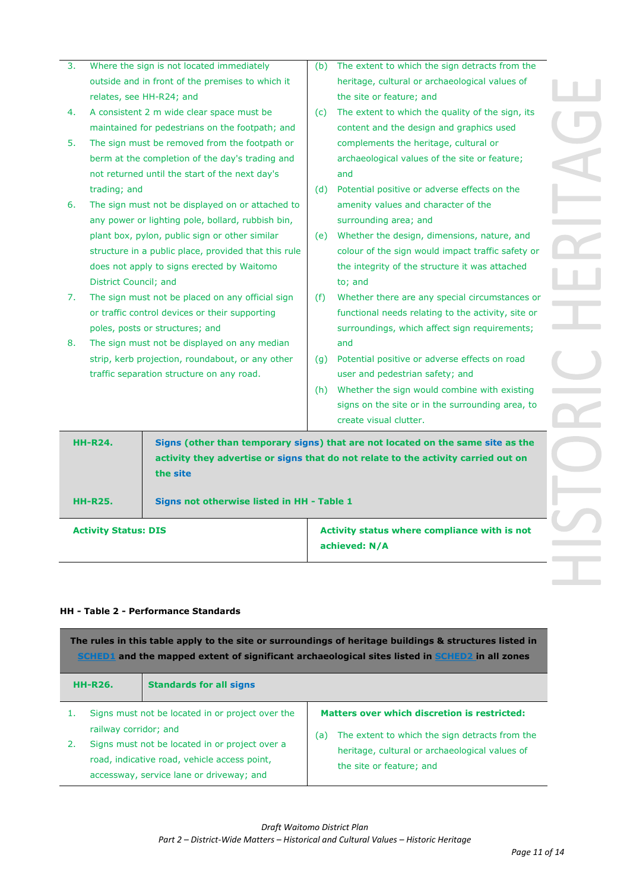| <b>HH-R24.</b><br>Signs (other than temporary signs) that are not located on the same site as the<br>activity they advertise or signs that do not relate to the activity carried out on<br>the site<br><b>HH-R25.</b><br>Signs not otherwise listed in HH - Table 1<br>Activity status where compliance with is not<br><b>Activity Status: DIS</b> | berm at the completion of the day's trading and<br>not returned until the start of the next day's<br>trading; and<br>The sign must not be displayed on or attached to<br>6.<br>any power or lighting pole, bollard, rubbish bin,<br>plant box, pylon, public sign or other similar<br>structure in a public place, provided that this rule<br>does not apply to signs erected by Waitomo<br>District Council; and<br>The sign must not be placed on any official sign<br>7.<br>or traffic control devices or their supporting<br>poles, posts or structures; and<br>The sign must not be displayed on any median<br>8.<br>strip, kerb projection, roundabout, or any other<br>traffic separation structure on any road. |  | (d)<br>(e)<br>(f)<br>(q)<br>(h) | and<br>Potential positive or adverse effects on the<br>amenity values and character of the<br>surrounding area; and<br>Whether the design, dimensions, nature, and<br>colour of the sign would impact traffic safety or<br>the integrity of the structure it was attached<br>to; and<br>Whether there are any special circumstances or<br>functional needs relating to the activity, site or<br>surroundings, which affect sign requirements;<br>and<br>Potential positive or adverse effects on road<br>user and pedestrian safety; and<br>Whether the sign would combine with existing<br>signs on the site or in the surrounding area, to<br>create visual clutter. |
|----------------------------------------------------------------------------------------------------------------------------------------------------------------------------------------------------------------------------------------------------------------------------------------------------------------------------------------------------|-------------------------------------------------------------------------------------------------------------------------------------------------------------------------------------------------------------------------------------------------------------------------------------------------------------------------------------------------------------------------------------------------------------------------------------------------------------------------------------------------------------------------------------------------------------------------------------------------------------------------------------------------------------------------------------------------------------------------|--|---------------------------------|------------------------------------------------------------------------------------------------------------------------------------------------------------------------------------------------------------------------------------------------------------------------------------------------------------------------------------------------------------------------------------------------------------------------------------------------------------------------------------------------------------------------------------------------------------------------------------------------------------------------------------------------------------------------|
|                                                                                                                                                                                                                                                                                                                                                    |                                                                                                                                                                                                                                                                                                                                                                                                                                                                                                                                                                                                                                                                                                                         |  |                                 |                                                                                                                                                                                                                                                                                                                                                                                                                                                                                                                                                                                                                                                                        |
|                                                                                                                                                                                                                                                                                                                                                    |                                                                                                                                                                                                                                                                                                                                                                                                                                                                                                                                                                                                                                                                                                                         |  |                                 |                                                                                                                                                                                                                                                                                                                                                                                                                                                                                                                                                                                                                                                                        |
| achieved: N/A                                                                                                                                                                                                                                                                                                                                      |                                                                                                                                                                                                                                                                                                                                                                                                                                                                                                                                                                                                                                                                                                                         |  |                                 |                                                                                                                                                                                                                                                                                                                                                                                                                                                                                                                                                                                                                                                                        |

#### **HH - Table 2 - Performance Standards**

| The rules in this table apply to the site or surroundings of heritage buildings & structures listed in<br><b>SCHED1</b> and the mapped extent of significant archaeological sites listed in SCHED2 in all zones |                       |                                                                                                                                                                                                |                                                                                                                                                                                            |
|-----------------------------------------------------------------------------------------------------------------------------------------------------------------------------------------------------------------|-----------------------|------------------------------------------------------------------------------------------------------------------------------------------------------------------------------------------------|--------------------------------------------------------------------------------------------------------------------------------------------------------------------------------------------|
|                                                                                                                                                                                                                 | <b>HH-R26.</b>        | <b>Standards for all signs</b>                                                                                                                                                                 |                                                                                                                                                                                            |
| 1.<br>2.                                                                                                                                                                                                        | railway corridor; and | Signs must not be located in or project over the<br>Signs must not be located in or project over a<br>road, indicative road, vehicle access point,<br>accessway, service lane or driveway; and | <b>Matters over which discretion is restricted:</b><br>The extent to which the sign detracts from the<br>(a)<br>heritage, cultural or archaeological values of<br>the site or feature; and |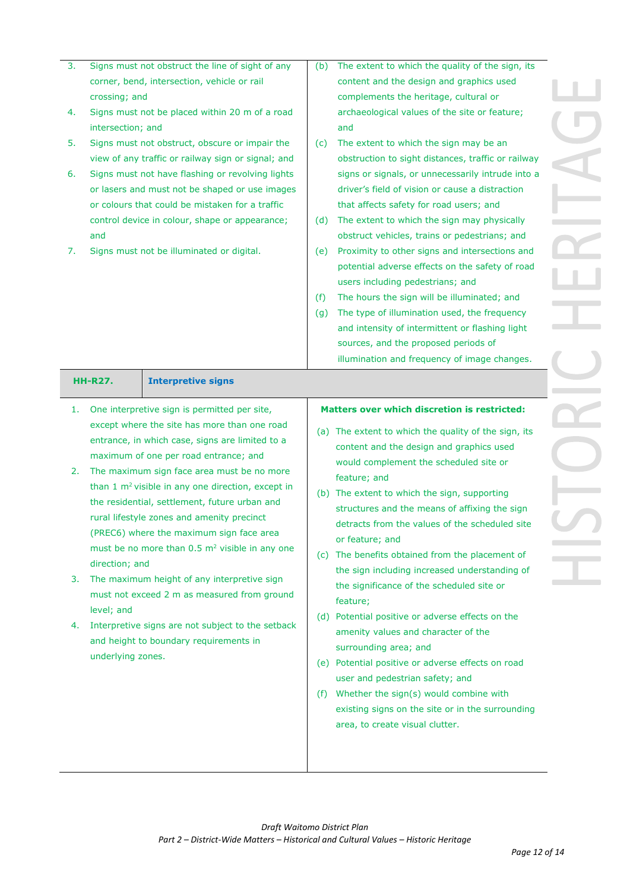| 4.<br>5.<br>6.<br>7. | crossing; and<br>Signs must not be placed within 20 m of a road<br>intersection; and<br>Signs must not obstruct, obscure or impair the<br>view of any traffic or railway sign or signal; and<br>Signs must not have flashing or revolving lights<br>or lasers and must not be shaped or use images<br>or colours that could be mistaken for a traffic<br>control device in colour, shape or appearance;<br>and<br>Signs must not be illuminated or digital.<br><b>Interpretive signs</b><br>HH-R27.                                                                                                                                                                                                                                                              | content and the design and graphics used<br>complements the heritage, cultural or<br>archaeological values of the site or feature;<br>and<br>The extent to which the sign may be an<br>(c)<br>obstruction to sight distances, traffic or railway<br>signs or signals, or unnecessarily intrude into a<br>driver's field of vision or cause a distraction<br>that affects safety for road users; and<br>The extent to which the sign may physically<br>(d)<br>obstruct vehicles, trains or pedestrians; and<br>Proximity to other signs and intersections and<br>(e)<br>potential adverse effects on the safety of road<br>users including pedestrians; and<br>The hours the sign will be illuminated; and<br>(f)<br>The type of illumination used, the frequency<br>(g)<br>and intensity of intermittent or flashing light<br>sources, and the proposed periods of<br>illumination and frequency of image changes. |  |
|----------------------|------------------------------------------------------------------------------------------------------------------------------------------------------------------------------------------------------------------------------------------------------------------------------------------------------------------------------------------------------------------------------------------------------------------------------------------------------------------------------------------------------------------------------------------------------------------------------------------------------------------------------------------------------------------------------------------------------------------------------------------------------------------|--------------------------------------------------------------------------------------------------------------------------------------------------------------------------------------------------------------------------------------------------------------------------------------------------------------------------------------------------------------------------------------------------------------------------------------------------------------------------------------------------------------------------------------------------------------------------------------------------------------------------------------------------------------------------------------------------------------------------------------------------------------------------------------------------------------------------------------------------------------------------------------------------------------------|--|
| 1.<br>2.<br>3.<br>4. | One interpretive sign is permitted per site,<br>except where the site has more than one road<br>entrance, in which case, signs are limited to a<br>maximum of one per road entrance; and<br>The maximum sign face area must be no more<br>than $1 \text{ m}^2$ visible in any one direction, except in<br>the residential, settlement, future urban and<br>rural lifestyle zones and amenity precinct<br>(PREC6) where the maximum sign face area<br>must be no more than $0.5 \text{ m}^2$ visible in any one<br>direction; and<br>The maximum height of any interpretive sign<br>must not exceed 2 m as measured from ground<br>level; and<br>Interpretive signs are not subject to the setback<br>and height to boundary requirements in<br>underlying zones. | <b>Matters over which discretion is restricted:</b><br>(a) The extent to which the quality of the sign, its<br>content and the design and graphics used<br>would complement the scheduled site or<br>feature; and<br>(b) The extent to which the sign, supporting<br>structures and the means of affixing the sign<br>detracts from the values of the scheduled site<br>or feature; and<br>(c) The benefits obtained from the placement of<br>the sign including increased understanding of<br>the significance of the scheduled site or<br>feature;<br>(d) Potential positive or adverse effects on the<br>amenity values and character of the<br>surrounding area; and<br>(e) Potential positive or adverse effects on road<br>user and pedestrian safety; and<br>Whether the sign(s) would combine with<br>(f)<br>existing signs on the site or in the surrounding<br>area, to create visual clutter.           |  |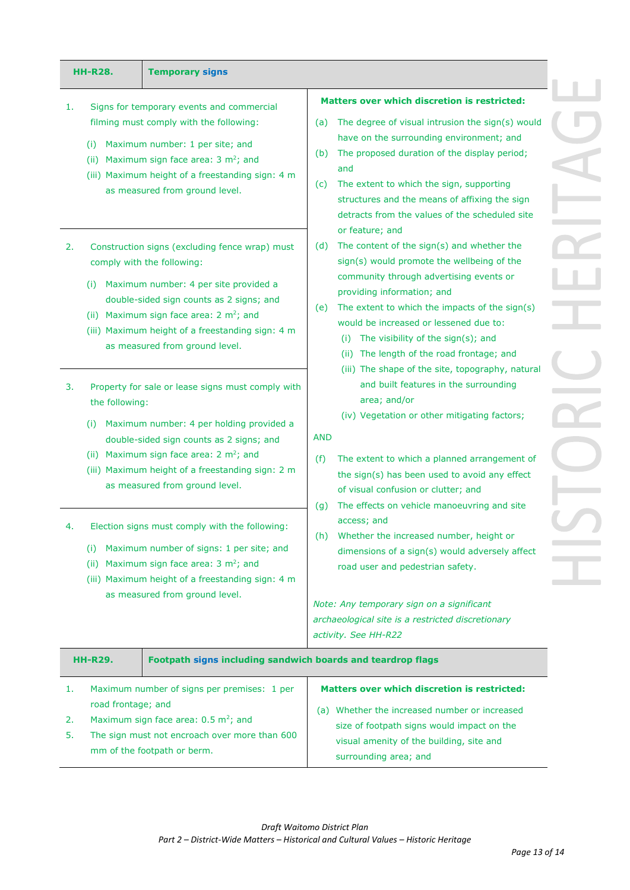| <b>HH-R28.</b>         | <b>Temporary signs</b>                                                                                                                                                                                                                                                                                                                                                                                                                              |                                                                                                                                                                                                                                                                                                                                                                                                                                                                                                                                                                               |
|------------------------|-----------------------------------------------------------------------------------------------------------------------------------------------------------------------------------------------------------------------------------------------------------------------------------------------------------------------------------------------------------------------------------------------------------------------------------------------------|-------------------------------------------------------------------------------------------------------------------------------------------------------------------------------------------------------------------------------------------------------------------------------------------------------------------------------------------------------------------------------------------------------------------------------------------------------------------------------------------------------------------------------------------------------------------------------|
| 1.<br>(i)<br>2.<br>(i) | Signs for temporary events and commercial<br>filming must comply with the following:<br>Maximum number: 1 per site; and<br>(ii) Maximum sign face area: $3 \text{ m}^2$ ; and<br>(iii) Maximum height of a freestanding sign: 4 m<br>as measured from ground level.<br>Construction signs (excluding fence wrap) must<br>comply with the following:<br>Maximum number: 4 per site provided a<br>double-sided sign counts as 2 signs; and            | <b>Matters over which discretion is restricted:</b><br>The degree of visual intrusion the sign(s) would<br>(a)<br>have on the surrounding environment; and<br>The proposed duration of the display period;<br>(b)<br>and<br>The extent to which the sign, supporting<br>(c)<br>structures and the means of affixing the sign<br>detracts from the values of the scheduled site<br>or feature; and<br>The content of the sign(s) and whether the<br>(d)<br>sign(s) would promote the wellbeing of the<br>community through advertising events or<br>providing information; and |
| 3.<br>(i)              | (ii) Maximum sign face area: $2 \text{ m}^2$ ; and<br>(iii) Maximum height of a freestanding sign: 4 m<br>as measured from ground level.<br>Property for sale or lease signs must comply with<br>the following:<br>Maximum number: 4 per holding provided a<br>double-sided sign counts as 2 signs; and<br>(ii) Maximum sign face area: $2 \text{ m}^2$ ; and<br>(iii) Maximum height of a freestanding sign: 2 m<br>as measured from ground level. | The extent to which the impacts of the sign(s)<br>(e)<br>would be increased or lessened due to:<br>The visibility of the sign(s); and<br>(i)<br>(ii) The length of the road frontage; and<br>(iii) The shape of the site, topography, natural<br>and built features in the surrounding<br>area; and/or<br>(iv) Vegetation or other mitigating factors;<br><b>AND</b><br>The extent to which a planned arrangement of<br>(f)<br>the sign(s) has been used to avoid any effect<br>of visual confusion or clutter; and                                                           |
| (i)<br>(ii)            | Election signs must comply with the following:<br>Maximum number of signs: 1 per site; and<br>Maximum sign face area: $3 \text{ m}^2$ ; and<br>(iii) Maximum height of a freestanding sign: 4 m<br>as measured from ground level.                                                                                                                                                                                                                   | The effects on vehicle manoeuvring and site<br>(g)<br>access; and<br>Whether the increased number, height or<br>(h)<br>dimensions of a sign(s) would adversely affect<br>road user and pedestrian safety.<br>Note: Any temporary sign on a significant<br>archaeological site is a restricted discretionary<br>activity. See HH-R22                                                                                                                                                                                                                                           |
| <b>HH-R29.</b>         | Footpath signs including sandwich boards and teardrop flags                                                                                                                                                                                                                                                                                                                                                                                         |                                                                                                                                                                                                                                                                                                                                                                                                                                                                                                                                                                               |
| 1.<br>2.<br>5.         | Maximum number of signs per premises: 1 per<br>road frontage; and<br>Maximum sign face area: $0.5 \text{ m}^2$ ; and<br>The sign must not encroach over more than 600<br>mm of the footpath or berm.                                                                                                                                                                                                                                                | <b>Matters over which discretion is restricted:</b><br>(a) Whether the increased number or increased<br>size of footpath signs would impact on the<br>visual amenity of the building, site and<br>surrounding area; and                                                                                                                                                                                                                                                                                                                                                       |

 $\Box$ Ď. Ì. ń, D. Ì, n, Ĩ.  $\overline{\phantom{a}}$  $\overline{\phantom{a}}$